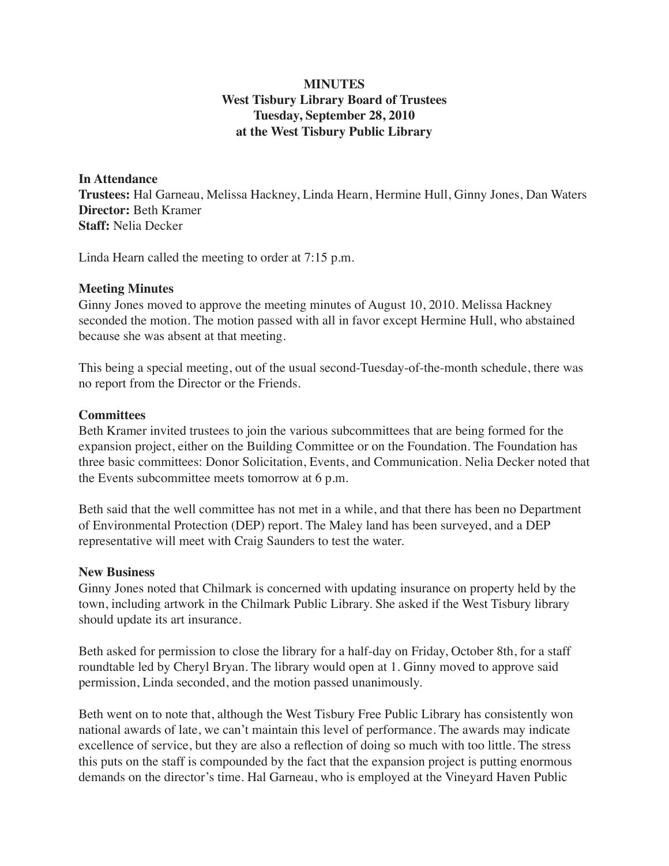# **MINUTES West Tisbury Library Board of Trustees Tuesday, September 28, 2010 at the West Tisbury Public Library**

## **In Attendance**

**Trustees:** Hal Garneau, Melissa Hackney, Linda Hearn, Hermine Hull, Ginny Jones, Dan Waters **Director:** Beth Kramer **Staff:** Nelia Decker

Linda Hearn called the meeting to order at 7:15 p.m.

### **Meeting Minutes**

Ginny Jones moved to approve the meeting minutes of August 10, 2010. Melissa Hackney seconded the motion. The motion passed with all in favor except Hermine Hull, who abstained because she was absent at that meeting.

This being a special meeting, out of the usual second-Tuesday-of-the-month schedule, there was no report from the Director or the Friends.

### **Committees**

Beth Kramer invited trustees to join the various subcommittees that are being formed for the expansion project, either on the Building Committee or on the Foundation. The Foundation has three basic committees: Donor Solicitation, Events, and Communication. Nelia Decker noted that the Events subcommittee meets tomorrow at 6 p.m.

Beth said that the well committee has not met in a while, and that there has been no Department of Environmental Protection (DEP) report. The Maley land has been surveyed, and a DEP representative will meet with Craig Saunders to test the water.

#### **New Business**

Ginny Jones noted that Chilmark is concerned with updating insurance on property held by the town, including artwork in the Chilmark Public Library. She asked if the West Tisbury library should update its art insurance.

Beth asked for permission to close the library for a half-day on Friday, October 8th, for a staff roundtable led by Cheryl Bryan. The library would open at 1. Ginny moved to approve said permission, Linda seconded, and the motion passed unanimously.

Beth went on to note that, although the West Tisbury Free Public Library has consistently won national awards of late, we can't maintain this level of performance. The awards may indicate excellence of service, but they are also a reflection of doing so much with too little. The stress this puts on the staff is compounded by the fact that the expansion project is putting enormous demands on the director's time. Hal Garneau, who is employed at the Vineyard Haven Public